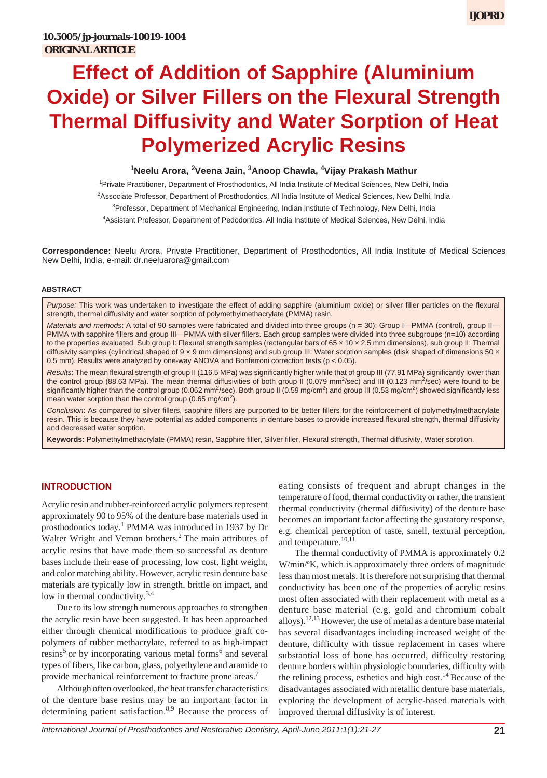# **Effect of Addition of Sapphire (Aluminium Oxide) or Silver Fillers on the Flexural Strength Thermal Diffusivity and Water Sorption of Heat Polymerized Acrylic Resins**

# <sup>1</sup>Neelu Arora, <sup>2</sup>Veena Jain, <sup>3</sup>Anoop Chawla, <sup>4</sup>Vijay Prakash Mathur

<sup>1</sup> Private Practitioner, Department of Prosthodontics, All India Institute of Medical Sciences, New Delhi, India <sup>2</sup>Associate Professor, Department of Prosthodontics, All India Institute of Medical Sciences, New Delhi, India <sup>3</sup>Professor, Department of Mechanical Engineering, Indian Institute of Technology, New Delhi, India 4 Assistant Professor, Department of Pedodontics, All India Institute of Medical Sciences, New Delhi, India

**Correspondence:** Neelu Arora, Private Practitioner, Department of Prosthodontics, All India Institute of Medical Sciences New Delhi, India, e-mail: dr.neeluarora@gmail.com

#### **ABSTRACT**

*Purpose:* This work was undertaken to investigate the effect of adding sapphire (aluminium oxide) or silver filler particles on the flexural strength, thermal diffusivity and water sorption of polymethylmethacrylate (PMMA) resin.

*Materials and methods*: A total of 90 samples were fabricated and divided into three groups (n = 30): Group I—PMMA (control), group II— PMMA with sapphire fillers and group III—PMMA with silver fillers. Each group samples were divided into three subgroups (n=10) according to the properties evaluated. Sub group I: Flexural strength samples (rectangular bars of 65 x 10 x 2.5 mm dimensions), sub group II: Thermal diffusivity samples (cylindrical shaped of  $9 \times 9$  mm dimensions) and sub group III: Water sorption samples (disk shaped of dimensions 50  $\times$ 0.5 mm). Results were analyzed by one-way ANOVA and Bonferroni correction tests (p *<* 0.05).

*Results*: The mean flexural strength of group II (116.5 MPa) was significantly higher while that of group III (77.91 MPa) significantly lower than the control group (88.63 MPa). The mean thermal diffusivities of both group II (0.079 mm<sup>2</sup>/sec) and III (0.123 mm<sup>2</sup>/sec) were found to be significantly higher than the control group (0.062 mm<sup>2</sup>/sec). Both group II (0.59 mg/cm<sup>2</sup>) and group III (0.53 mg/cm<sup>2</sup>) showed significantly less mean water sorption than the control group (0.65 mg/cm<sup>2</sup>).

*Conclusion*: As compared to silver fillers, sapphire fillers are purported to be better fillers for the reinforcement of polymethylmethacrylate resin. This is because they have potential as added components in denture bases to provide increased flexural strength, thermal diffusivity and decreased water sorption.

**Keywords:** Polymethylmethacrylate (PMMA) resin, Sapphire filler, Silver filler, Flexural strength, Thermal diffusivity, Water sorption.

## **INTRODUCTION**

Acrylic resin and rubber-reinforced acrylic polymers represent approximately 90 to 95% of the denture base materials used in prosthodontics today.<sup>1</sup> PMMA was introduced in 1937 by Dr Walter Wright and Vernon brothers.<sup>2</sup> The main attributes of acrylic resins that have made them so successful as denture bases include their ease of processing, low cost, light weight, and color matching ability. However, acrylic resin denture base materials are typically low in strength, brittle on impact, and low in thermal conductivity. $3,4$ 

 Due to its low strength numerous approaches to strengthen the acrylic resin have been suggested. It has been approached either through chemical modifications to produce graft copolymers of rubber methacrylate, referred to as high-impact resins<sup>5</sup> or by incorporating various metal forms<sup>6</sup> and several types of fibers, like carbon, glass, polyethylene and aramide to provide mechanical reinforcement to fracture prone areas.<sup>7</sup>

 Although often overlooked, the heat transfer characteristics of the denture base resins may be an important factor in determining patient satisfaction.<sup>8,9</sup> Because the process of

eating consists of frequent and abrupt changes in the temperature of food, thermal conductivity or rather, the transient thermal conductivity (thermal diffusivity) of the denture base becomes an important factor affecting the gustatory response, e.g. chemical perception of taste, smell, textural perception, and temperature.<sup>10,11</sup>

 The thermal conductivity of PMMA is approximately 0.2 W/min/ºK, which is approximately three orders of magnitude less than most metals. It is therefore not surprising that thermal conductivity has been one of the properties of acrylic resins most often associated with their replacement with metal as a denture base material (e.g. gold and chromium cobalt alloys).12,13 However, the use of metal as a denture base material has several disadvantages including increased weight of the denture, difficulty with tissue replacement in cases where substantial loss of bone has occurred, difficulty restoring denture borders within physiologic boundaries, difficulty with the relining process, esthetics and high cost. $14$  Because of the disadvantages associated with metallic denture base materials, exploring the development of acrylic-based materials with improved thermal diffusivity is of interest.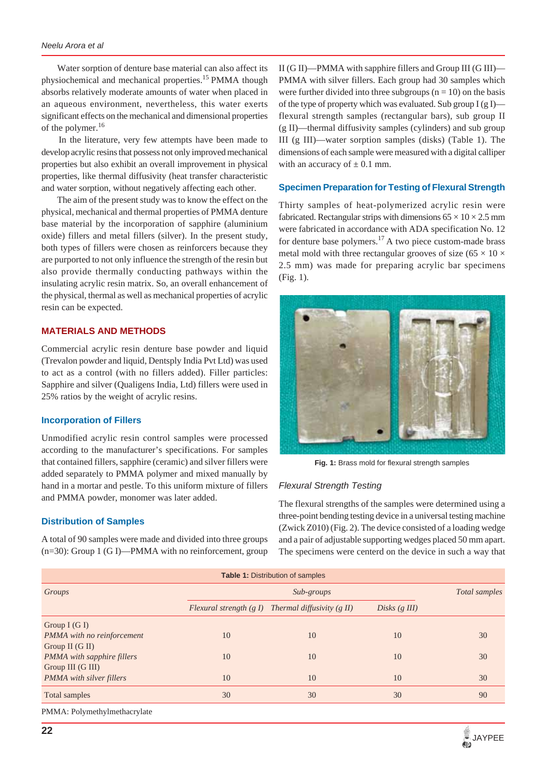Water sorption of denture base material can also affect its physiochemical and mechanical properties.<sup>15</sup> PMMA though absorbs relatively moderate amounts of water when placed in an aqueous environment, nevertheless, this water exerts significant effects on the mechanical and dimensional properties of the polymer.<sup>16</sup>

 In the literature, very few attempts have been made to develop acrylic resins that possess not only improved mechanical properties but also exhibit an overall improvement in physical properties, like thermal diffusivity (heat transfer characteristic and water sorption, without negatively affecting each other.

 The aim of the present study was to know the effect on the physical, mechanical and thermal properties of PMMA denture base material by the incorporation of sapphire (aluminium oxide) fillers and metal fillers (silver). In the present study, both types of fillers were chosen as reinforcers because they are purported to not only influence the strength of the resin but also provide thermally conducting pathways within the insulating acrylic resin matrix. So, an overall enhancement of the physical, thermal as well as mechanical properties of acrylic resin can be expected.

## **MATERIALS AND METHODS**

Commercial acrylic resin denture base powder and liquid (Trevalon powder and liquid, Dentsply India Pvt Ltd) was used to act as a control (with no fillers added). Filler particles: Sapphire and silver (Qualigens India, Ltd) fillers were used in 25% ratios by the weight of acrylic resins.

## **Incorporation of Fillers**

Unmodified acrylic resin control samples were processed according to the manufacturer's specifications. For samples that contained fillers, sapphire (ceramic) and silver fillers were added separately to PMMA polymer and mixed manually by hand in a mortar and pestle. To this uniform mixture of fillers and PMMA powder, monomer was later added.

#### **Distribution of Samples**

A total of 90 samples were made and divided into three groups (n=30): Group 1 (G I)—PMMA with no reinforcement, group II (G II)—PMMA with sapphire fillers and Group III (G III)— PMMA with silver fillers. Each group had 30 samples which were further divided into three subgroups  $(n = 10)$  on the basis of the type of property which was evaluated. Sub group  $I(gI)$  flexural strength samples (rectangular bars), sub group II (g II)—thermal diffusivity samples (cylinders) and sub group III (g III)—water sorption samples (disks) (Table 1). The dimensions of each sample were measured with a digital calliper with an accuracy of  $\pm$  0.1 mm.

#### **Specimen Preparation for Testing of Flexural Strength**

Thirty samples of heat-polymerized acrylic resin were fabricated. Rectangular strips with dimensions  $65 \times 10 \times 2.5$  mm were fabricated in accordance with ADA specification No. 12 for denture base polymers.<sup>17</sup> A two piece custom-made brass metal mold with three rectangular grooves of size (65  $\times$  10  $\times$ 2.5 mm) was made for preparing acrylic bar specimens (Fig. 1).



**Fig. 1:** Brass mold for flexural strength samples

#### *Flexural Strength Testing*

The flexural strengths of the samples were determined using a three-point bending testing device in a universal testing machine (Zwick Z010) (Fig. 2). The device consisted of a loading wedge and a pair of adjustable supporting wedges placed 50 mm apart. The specimens were centerd on the device in such a way that

| <b>Table 1: Distribution of samples</b> |    |                                                        |                    |    |  |  |  |  |  |
|-----------------------------------------|----|--------------------------------------------------------|--------------------|----|--|--|--|--|--|
| Groups                                  |    | Total samples                                          |                    |    |  |  |  |  |  |
|                                         |    | Flexural strength $(g I)$ Thermal diffusivity $(g II)$ | Disks $(g \, III)$ |    |  |  |  |  |  |
| Group $I(G I)$                          |    |                                                        |                    |    |  |  |  |  |  |
| PMMA with no reinforcement              | 10 | 10                                                     | 10                 | 30 |  |  |  |  |  |
| Group II $(G II)$                       |    |                                                        |                    |    |  |  |  |  |  |
| <b>PMMA</b> with sapphire fillers       | 10 | 10                                                     | 10                 | 30 |  |  |  |  |  |
| Group III (G III)                       |    |                                                        |                    |    |  |  |  |  |  |
| <b>PMMA</b> with silver fillers         | 10 | 10                                                     | 10                 | 30 |  |  |  |  |  |
| Total samples                           | 30 | 30                                                     | 30                 | 90 |  |  |  |  |  |
| PMMA: Polymethylmethacrylate            |    |                                                        |                    |    |  |  |  |  |  |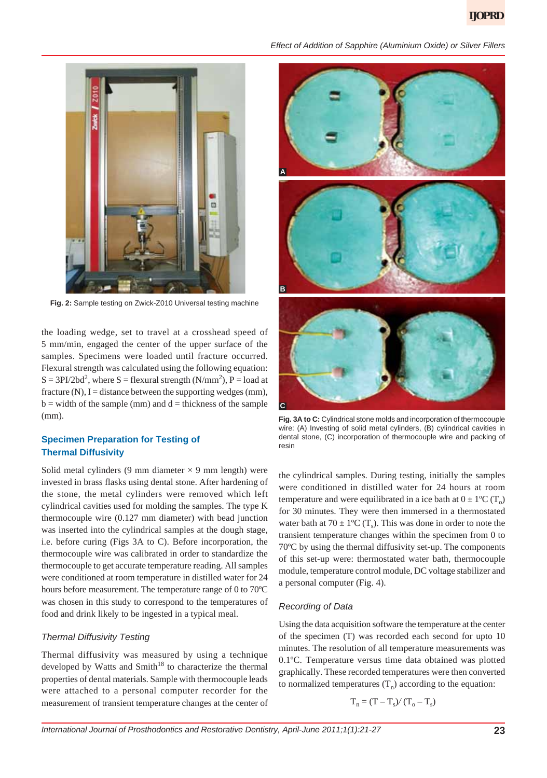

**Fig. 2:** Sample testing on Zwick-Z010 Universal testing machine

the loading wedge, set to travel at a crosshead speed of 5 mm/min, engaged the center of the upper surface of the samples. Specimens were loaded until fracture occurred. Flexural strength was calculated using the following equation:  $S = 3PI/2bd^2$ , where  $S =$  flexural strength (N/mm<sup>2</sup>), P = load at fracture  $(N)$ , I = distance between the supporting wedges  $(mm)$ ,  $b =$  width of the sample (mm) and  $d =$  thickness of the sample (mm).

# **Specimen Preparation for Testing of Thermal Diffusivity**

Solid metal cylinders (9 mm diameter  $\times$  9 mm length) were invested in brass flasks using dental stone. After hardening of the stone, the metal cylinders were removed which left cylindrical cavities used for molding the samples. The type K thermocouple wire (0.127 mm diameter) with bead junction was inserted into the cylindrical samples at the dough stage, i.e. before curing (Figs 3A to C). Before incorporation, the thermocouple wire was calibrated in order to standardize the thermocouple to get accurate temperature reading. All samples were conditioned at room temperature in distilled water for 24 hours before measurement. The temperature range of 0 to 70ºC was chosen in this study to correspond to the temperatures of food and drink likely to be ingested in a typical meal.

# *Thermal Diffusivity Testing*

Thermal diffusivity was measured by using a technique developed by Watts and  $Smith^{18}$  to characterize the thermal properties of dental materials. Sample with thermocouple leads were attached to a personal computer recorder for the measurement of transient temperature changes at the center of



**Fig. 3A to C:** Cylindrical stone molds and incorporation of thermocouple wire: (A) Investing of solid metal cylinders, (B) cylindrical cavities in dental stone, (C) incorporation of thermocouple wire and packing of resin

the cylindrical samples. During testing, initially the samples were conditioned in distilled water for 24 hours at room temperature and were equilibrated in a ice bath at  $0 \pm 1^{\circ}C(T_0)$ for 30 minutes. They were then immersed in a thermostated water bath at  $70 \pm 1$ °C (T<sub>s</sub>). This was done in order to note the transient temperature changes within the specimen from 0 to 70ºC by using the thermal diffusivity set-up. The components of this set-up were: thermostated water bath, thermocouple module, temperature control module, DC voltage stabilizer and a personal computer (Fig. 4).

# *Recording of Data*

Using the data acquisition software the temperature at the center of the specimen (T) was recorded each second for upto 10 minutes. The resolution of all temperature measurements was 0.1ºC. Temperature versus time data obtained was plotted graphically. These recorded temperatures were then converted to normalized temperatures  $(T_n)$  according to the equation:

$$
T_n = (T - T_s) / (T_o - T_s)
$$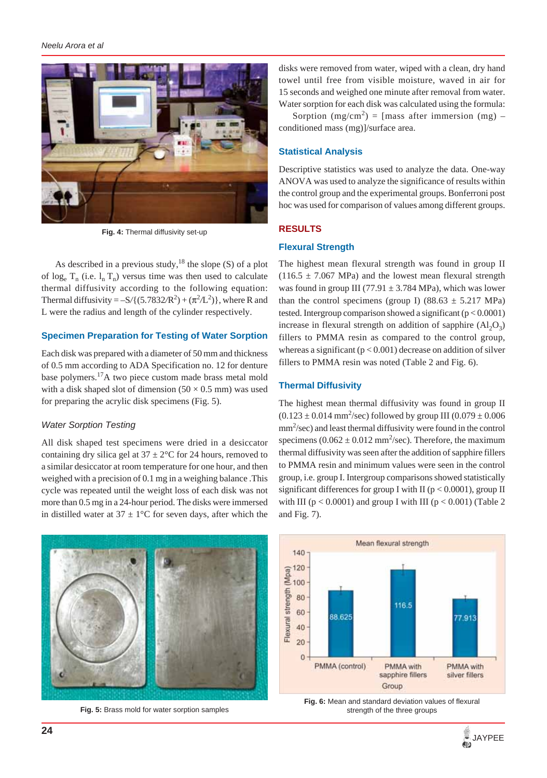

**Fig. 4:** Thermal diffusivity set-up

As described in a previous study,  $18$  the slope (S) of a plot of log<sub>e</sub>  $T_n$  (i.e.  $l_n T_n$ ) versus time was then used to calculate thermal diffusivity according to the following equation: Thermal diffusivity =  $-S/(5.7832/R^2) + (\pi^2/L^2)$ , where R and L were the radius and length of the cylinder respectively.

# **Specimen Preparation for Testing of Water Sorption**

Each disk was prepared with a diameter of 50 mm and thickness of 0.5 mm according to ADA Specification no. 12 for denture base polymers.17A two piece custom made brass metal mold with a disk shaped slot of dimension  $(50 \times 0.5 \text{ mm})$  was used for preparing the acrylic disk specimens (Fig. 5).

# *Water Sorption Testing*

All disk shaped test specimens were dried in a desiccator containing dry silica gel at  $37 \pm 2$ °C for 24 hours, removed to a similar desiccator at room temperature for one hour, and then weighed with a precision of 0.1 mg in a weighing balance .This cycle was repeated until the weight loss of each disk was not more than 0.5 mg in a 24-hour period. The disks were immersed in distilled water at  $37 \pm 1$ °C for seven days, after which the



**Fig. 5:** Brass mold for water sorption samples

disks were removed from water, wiped with a clean, dry hand towel until free from visible moisture, waved in air for 15 seconds and weighed one minute after removal from water. Water sorption for each disk was calculated using the formula:

Sorption  $(mg/cm^2) =$  [mass after immersion  $(mg)$  – conditioned mass (mg)]/surface area.

# **Statistical Analysis**

Descriptive statistics was used to analyze the data. One-way ANOVA was used to analyze the significance of results within the control group and the experimental groups. Bonferroni post hoc was used for comparison of values among different groups.

# **RESULTS**

# **Flexural Strength**

The highest mean flexural strength was found in group II  $(116.5 \pm 7.067 \text{ MPa})$  and the lowest mean flexural strength was found in group III (77.91  $\pm$  3.784 MPa), which was lower than the control specimens (group I) (88.63  $\pm$  5.217 MPa) tested. Intergroup comparison showed a significant  $(p < 0.0001)$ increase in flexural strength on addition of sapphire  $(Al_2O_3)$ fillers to PMMA resin as compared to the control group, whereas a significant  $(p < 0.001)$  decrease on addition of silver fillers to PMMA resin was noted (Table 2 and Fig. 6).

# **Thermal Diffusivity**

The highest mean thermal diffusivity was found in group II  $(0.123 \pm 0.014 \text{ mm}^2/\text{sec})$  followed by group III  $(0.079 \pm 0.006$ mm<sup>2</sup>/sec) and least thermal diffusivity were found in the control specimens  $(0.062 \pm 0.012 \text{ mm}^2/\text{sec})$ . Therefore, the maximum thermal diffusivity was seen after the addition of sapphire fillers to PMMA resin and minimum values were seen in the control group, i.e. group I. Intergroup comparisons showed statistically significant differences for group I with II ( $p < 0.0001$ ), group II with III ( $p < 0.0001$ ) and group I with III ( $p < 0.001$ ) (Table 2 and Fig. 7).



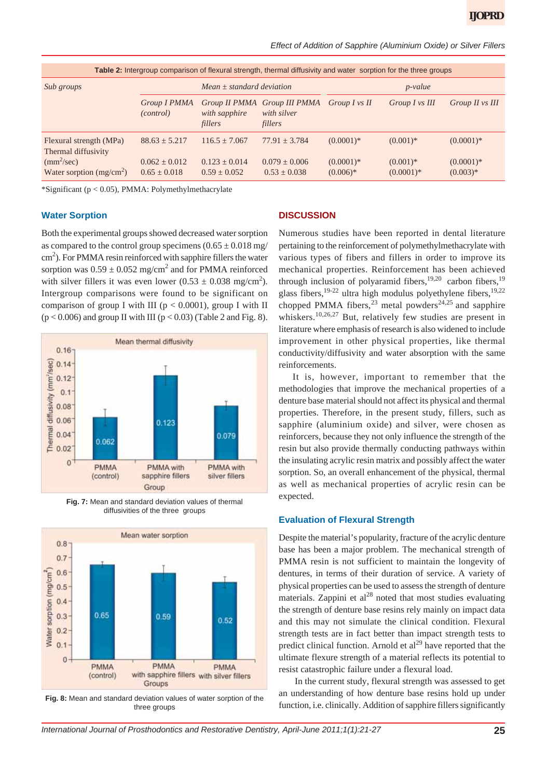*Effect of Addition of Sapphire (Aluminium Oxide) or Silver Fillers*

| Table 2: Intergroup comparison of flexural strength, thermal diffusivity and water sorption for the three groups |                                     |                                   |                                                        |                            |                             |                            |  |  |  |
|------------------------------------------------------------------------------------------------------------------|-------------------------------------|-----------------------------------|--------------------------------------------------------|----------------------------|-----------------------------|----------------------------|--|--|--|
| Sub groups                                                                                                       | $Mean + standard deviation$         |                                   |                                                        | $p$ -value                 |                             |                            |  |  |  |
|                                                                                                                  | Group I PMMA<br><i>(control)</i>    | with sapphire<br>fillers          | Group II PMMA Group III PMMA<br>with silver<br>fillers | Group I vs II              | Group I vs III              | Group II vs III            |  |  |  |
| Flexural strength (MPa)<br>Thermal diffusivity                                                                   | $88.63 + 5.217$                     | $116.5 + 7.067$                   | $77.91 + 3.784$                                        | $(0.0001)*$                | $(0.001)$ *                 | $(0.0001)$ *               |  |  |  |
| (mm <sup>2</sup> /sec)<br>Water sorption $(mg/cm2)$                                                              | $0.062 \pm 0.012$<br>$0.65 + 0.018$ | $0.123 + 0.014$<br>$0.59 + 0.052$ | $0.079 \pm 0.006$<br>$0.53 + 0.038$                    | $(0.0001)$ *<br>$(0.006)*$ | $(0.001)$ *<br>$(0.0001)$ * | $(0.0001)$ *<br>$(0.003)*$ |  |  |  |

\*Significant (p < 0.05), PMMA: Polymethylmethacrylate

# **Water Sorption**

Both the experimental groups showed decreased water sorption as compared to the control group specimens  $(0.65 \pm 0.018 \text{ mg})$  $\text{cm}^2$ ). For PMMA resin reinforced with sapphire fillers the water sorption was  $0.59 \pm 0.052$  mg/cm<sup>2</sup> and for PMMA reinforced with silver fillers it was even lower  $(0.53 \pm 0.038 \text{ mg/cm}^2)$ . Intergroup comparisons were found to be significant on comparison of group I with III ( $p < 0.0001$ ), group I with II  $(p < 0.006)$  and group II with III  $(p < 0.03)$  (Table 2 and Fig. 8).



**Fig. 7:** Mean and standard deviation values of thermal diffusivities of the three groups



**Fig. 8:** Mean and standard deviation values of water sorption of the three groups

#### **DISCUSSION**

Numerous studies have been reported in dental literature pertaining to the reinforcement of polymethylmethacrylate with various types of fibers and fillers in order to improve its mechanical properties. Reinforcement has been achieved through inclusion of polyaramid fibers,  $19,20$  carbon fibers,  $19$ glass fibers,<sup>19-22</sup> ultra high modulus polyethylene fibers,<sup>19,22</sup> chopped PMMA fibers,<sup>23</sup> metal powders<sup>24,25</sup> and sapphire whiskers.<sup>10,26,27</sup> But, relatively few studies are present in literature where emphasis of research is also widened to include improvement in other physical properties, like thermal conductivity/diffusivity and water absorption with the same reinforcements.

It is, however, important to remember that the methodologies that improve the mechanical properties of a denture base material should not affect its physical and thermal properties. Therefore, in the present study, fillers, such as sapphire (aluminium oxide) and silver, were chosen as reinforcers, because they not only influence the strength of the resin but also provide thermally conducting pathways within the insulating acrylic resin matrix and possibly affect the water sorption. So, an overall enhancement of the physical, thermal as well as mechanical properties of acrylic resin can be expected.

## **Evaluation of Flexural Strength**

Despite the material's popularity, fracture of the acrylic denture base has been a major problem. The mechanical strength of PMMA resin is not sufficient to maintain the longevity of dentures, in terms of their duration of service. A variety of physical properties can be used to assess the strength of denture materials. Zappini et  $al^{28}$  noted that most studies evaluating the strength of denture base resins rely mainly on impact data and this may not simulate the clinical condition. Flexural strength tests are in fact better than impact strength tests to predict clinical function. Arnold et  $al<sup>29</sup>$  have reported that the ultimate flexure strength of a material reflects its potential to resist catastrophic failure under a flexural load.

 In the current study, flexural strength was assessed to get an understanding of how denture base resins hold up under function, i.e. clinically. Addition of sapphire fillers significantly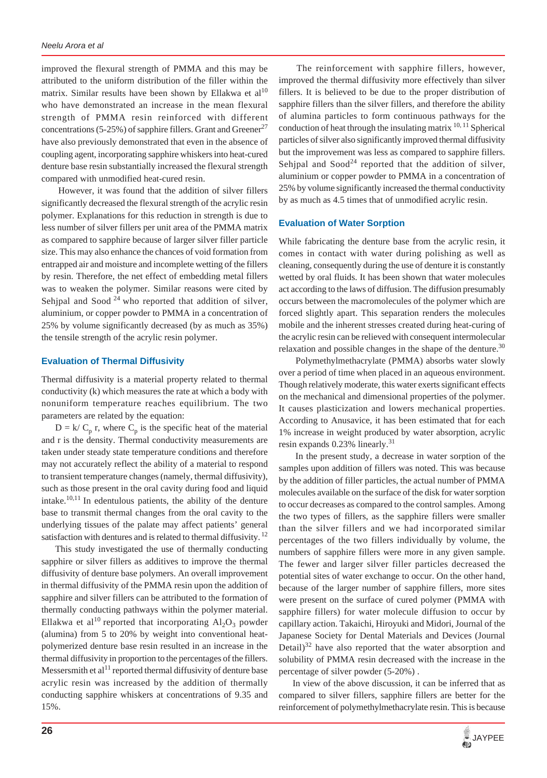improved the flexural strength of PMMA and this may be attributed to the uniform distribution of the filler within the matrix. Similar results have been shown by Ellakwa et  $al^{10}$ who have demonstrated an increase in the mean flexural strength of PMMA resin reinforced with different concentrations (5-25%) of sapphire fillers. Grant and Greener<sup>27</sup> have also previously demonstrated that even in the absence of coupling agent, incorporating sapphire whiskers into heat-cured denture base resin substantially increased the flexural strength compared with unmodified heat-cured resin.

 However, it was found that the addition of silver fillers significantly decreased the flexural strength of the acrylic resin polymer. Explanations for this reduction in strength is due to less number of silver fillers per unit area of the PMMA matrix as compared to sapphire because of larger silver filler particle size. This may also enhance the chances of void formation from entrapped air and moisture and incomplete wetting of the fillers by resin. Therefore, the net effect of embedding metal fillers was to weaken the polymer. Similar reasons were cited by Sehjpal and Sood  $24$  who reported that addition of silver, aluminium, or copper powder to PMMA in a concentration of 25% by volume significantly decreased (by as much as 35%) the tensile strength of the acrylic resin polymer.

# **Evaluation of Thermal Diffusivity**

Thermal diffusivity is a material property related to thermal conductivity (k) which measures the rate at which a body with nonuniform temperature reaches equilibrium. The two parameters are related by the equation:

 $D = k/C_p$ , where  $C_p$  is the specific heat of the material and r is the density. Thermal conductivity measurements are taken under steady state temperature conditions and therefore may not accurately reflect the ability of a material to respond to transient temperature changes (namely, thermal diffusivity), such as those present in the oral cavity during food and liquid intake. $10,11$  In edentulous patients, the ability of the denture base to transmit thermal changes from the oral cavity to the underlying tissues of the palate may affect patients' general satisfaction with dentures and is related to thermal diffusivity.<sup>12</sup>

This study investigated the use of thermally conducting sapphire or silver fillers as additives to improve the thermal diffusivity of denture base polymers. An overall improvement in thermal diffusivity of the PMMA resin upon the addition of sapphire and silver fillers can be attributed to the formation of thermally conducting pathways within the polymer material. Ellakwa et al<sup>10</sup> reported that incorporating  $Al_2O_3$  powder (alumina) from 5 to 20% by weight into conventional heatpolymerized denture base resin resulted in an increase in the thermal diffusivity in proportion to the percentages of the fillers. Messersmith et al<sup>11</sup> reported thermal diffusivity of denture base acrylic resin was increased by the addition of thermally conducting sapphire whiskers at concentrations of 9.35 and 15%.

 The reinforcement with sapphire fillers, however, improved the thermal diffusivity more effectively than silver fillers. It is believed to be due to the proper distribution of sapphire fillers than the silver fillers, and therefore the ability of alumina particles to form continuous pathways for the conduction of heat through the insulating matrix  $10, 11$  Spherical particles of silver also significantly improved thermal diffusivity but the improvement was less as compared to sapphire fillers. Sehjpal and Sood<sup>24</sup> reported that the addition of silver, aluminium or copper powder to PMMA in a concentration of 25% by volume significantly increased the thermal conductivity by as much as 4.5 times that of unmodified acrylic resin.

### **Evaluation of Water Sorption**

While fabricating the denture base from the acrylic resin, it comes in contact with water during polishing as well as cleaning, consequently during the use of denture it is constantly wetted by oral fluids. It has been shown that water molecules act according to the laws of diffusion. The diffusion presumably occurs between the macromolecules of the polymer which are forced slightly apart. This separation renders the molecules mobile and the inherent stresses created during heat-curing of the acrylic resin can be relieved with consequent intermolecular relaxation and possible changes in the shape of the denture. $30$ 

 Polymethylmethacrylate (PMMA) absorbs water slowly over a period of time when placed in an aqueous environment. Though relatively moderate, this water exerts significant effects on the mechanical and dimensional properties of the polymer. It causes plasticization and lowers mechanical properties. According to Anusavice, it has been estimated that for each 1% increase in weight produced by water absorption, acrylic resin expands 0.23% linearly.<sup>31</sup>

 In the present study, a decrease in water sorption of the samples upon addition of fillers was noted. This was because by the addition of filler particles, the actual number of PMMA molecules available on the surface of the disk for water sorption to occur decreases as compared to the control samples. Among the two types of fillers, as the sapphire fillers were smaller than the silver fillers and we had incorporated similar percentages of the two fillers individually by volume, the numbers of sapphire fillers were more in any given sample. The fewer and larger silver filler particles decreased the potential sites of water exchange to occur. On the other hand, because of the larger number of sapphire fillers, more sites were present on the surface of cured polymer (PMMA with sapphire fillers) for water molecule diffusion to occur by capillary action. Takaichi, Hiroyuki and Midori, Journal of the Japanese Society for Dental Materials and Devices (Journal Detail) $32$  have also reported that the water absorption and solubility of PMMA resin decreased with the increase in the percentage of silver powder (5-20%) .

In view of the above discussion, it can be inferred that as compared to silver fillers, sapphire fillers are better for the reinforcement of polymethylmethacrylate resin. This is because